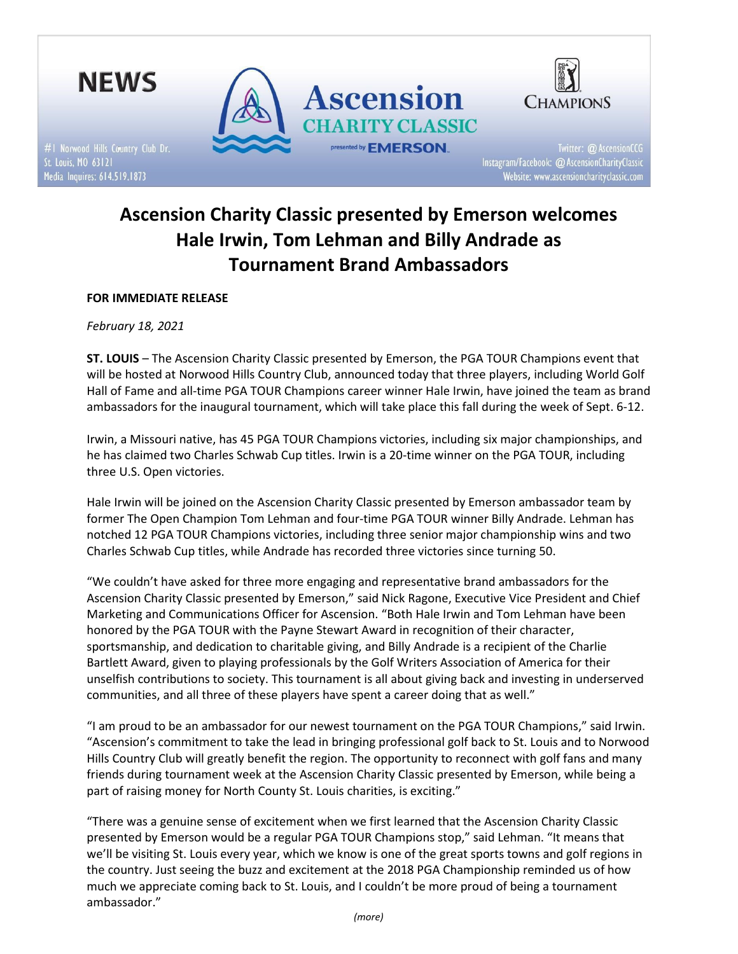

# Ascension Charity Classic presented by Emerson welcomes Hale Irwin, Tom Lehman and Billy Andrade as Tournament Brand Ambassadors

## FOR IMMEDIATE RELEASE

February 18, 2021

ST. LOUIS – The Ascension Charity Classic presented by Emerson, the PGA TOUR Champions event that will be hosted at Norwood Hills Country Club, announced today that three players, including World Golf Hall of Fame and all-time PGA TOUR Champions career winner Hale Irwin, have joined the team as brand ambassadors for the inaugural tournament, which will take place this fall during the week of Sept. 6-12.

Irwin, a Missouri native, has 45 PGA TOUR Champions victories, including six major championships, and he has claimed two Charles Schwab Cup titles. Irwin is a 20-time winner on the PGA TOUR, including three U.S. Open victories.

Hale Irwin will be joined on the Ascension Charity Classic presented by Emerson ambassador team by former The Open Champion Tom Lehman and four-time PGA TOUR winner Billy Andrade. Lehman has notched 12 PGA TOUR Champions victories, including three senior major championship wins and two Charles Schwab Cup titles, while Andrade has recorded three victories since turning 50.

"We couldn't have asked for three more engaging and representative brand ambassadors for the Ascension Charity Classic presented by Emerson," said Nick Ragone, Executive Vice President and Chief Marketing and Communications Officer for Ascension. "Both Hale Irwin and Tom Lehman have been honored by the PGA TOUR with the Payne Stewart Award in recognition of their character, sportsmanship, and dedication to charitable giving, and Billy Andrade is a recipient of the Charlie Bartlett Award, given to playing professionals by the Golf Writers Association of America for their unselfish contributions to society. This tournament is all about giving back and investing in underserved communities, and all three of these players have spent a career doing that as well."

"I am proud to be an ambassador for our newest tournament on the PGA TOUR Champions," said Irwin. "Ascension's commitment to take the lead in bringing professional golf back to St. Louis and to Norwood Hills Country Club will greatly benefit the region. The opportunity to reconnect with golf fans and many friends during tournament week at the Ascension Charity Classic presented by Emerson, while being a part of raising money for North County St. Louis charities, is exciting."

"There was a genuine sense of excitement when we first learned that the Ascension Charity Classic presented by Emerson would be a regular PGA TOUR Champions stop," said Lehman. "It means that we'll be visiting St. Louis every year, which we know is one of the great sports towns and golf regions in the country. Just seeing the buzz and excitement at the 2018 PGA Championship reminded us of how much we appreciate coming back to St. Louis, and I couldn't be more proud of being a tournament ambassador."